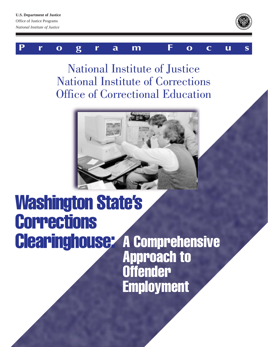

## **P r o g r a m F o c u s**

National Institute of Justice National Institute of Corrections Office of Correctional Education



# Clearinghouse<sup>,</sup> A comprehensive Washington State's Corrections

Approach to **Offender Employment**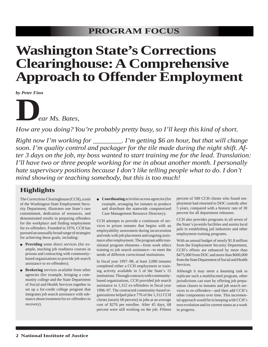# **Washington State's Corrections Clearinghouse: A Comprehensive Approach to Offender Employment**

*by Peter Finn*



*How are you doing? You're probably pretty busy, so I'll keep this kind of short.*

*Right now I'm working for \_\_\_\_\_\_\_\_. I'm getting \$6 an hour, but that will change soon. I'm quality control and packager for the tile made during the night shift. After 3 days on the job, my boss wanted to start training me for the lead. Translation: I'll have two or three people working for me in about another month. I personally hate supervisory positions because I don't like telling people what to do. I don't mind showing or teaching somebody, but this is too much!*

### **Highlights**

The Corrections Clearinghouse (CCH), a unit of the Washington State Employment Security Department, illustrates one State's rare commitment, dedication of resources, and demonstrated results in preparing offenders for the workplace and finding employment for ex-offenders. Founded in 1976, CCH has pursued an unusually broad range of strategies for achieving these goals, including:

- **Providing** some direct services (for example, teaching job readiness courses in prisons and contracting with communitybased organizations to provide job search assistance to ex-offenders).
- **Brokering** services available from other agencies (for example, bringing a community college and the State Department of Social and Health Services together to set up a for-credit college program that integrates job search assistance with substance abuse treatment for ex-offenders in recovery).

● **Coordinating** activities across agencies (for example, arranging for inmates to produce and distribute the statewide computerized Case Management Resource Directory).

CCH attempts to provide a continuum of services to prison inmates that begins with an employability assessment during incarceration and ends with job placement and ongoing assistance after employment. The program adds transitional program elements—from work ethics training to job search assistance—to meet the needs of different correctional institutions.

In fiscal year 1997–98, at least 3,080 inmates completed either a CCH employment or training activity available in 5 of the State's 15 institutions. Through contracts with communitybased organizations, CCH provided job search assistance to 1,312 ex-offenders in fiscal year 1996–97. The contracted community-based organizations helped place 776 of the 1,312 CCH clients (nearly 60 percent) in jobs at an average cost of \$276 per enrollee. After 45 days, 68 percent were still working on the job. Fifteen percent of 500 CCH clients who found employment had returned to DOC custody after 5 years, compared with a historic rate of 30 percent for all department releasees.

CCH also provides programs in all seven of the State's juvenile facilities and assists local jails in establishing jail industries and other employment training programs.

With an annual budget of nearly \$1.8 million from the Employment Security Department, CCH's efforts are enhanced by more than \$475,000 from DOC and more than \$600,000 from the State Department of Social and Health Services.

Although it may seem a daunting task to replicate such a multifaceted program, other jurisdictions can start by offering job preparation classes to inmates and job search services to ex-offenders—and then add CCH's other components over time. This incremental approach would be in keeping with CCH's own evolution and its current status as a work in progress.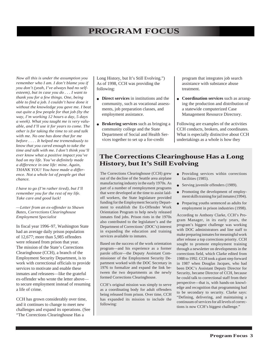*Now all this is under the assumption you remember who I am. I don't blame you if you don't (yeah, I've always had no selfesteem), but in case you do . . . I want to thank you for a few things. One, being able to find a job. I couldn't have done it without the knowledge you gave me. I beat out quite a few people for that job (by the way, I'm working 12 hours a day, 5 days a week). What you taught me is very valuable, and I'll use it for years to come. The other is for taking the time to sit and talk with me. No one has done that for me before . . . . It helped me tremendously to know that you cared enough to take the time and talk with me. I don't think you'll ever know what a positive impact you've had on my life. You've definitely made a difference in one life: mine. Again, THANK YOU! You have made a difference. Not a whole lot of people get that chance.*

*I have to go (I'm rather tired), but I'll remember you for the rest of my life. Take care and good luck!*

*—Letter from an ex-offender to Shawn Bates, Corrections Clearinghouse Employment Specialist*

In fiscal year 1996–97, Washington State had an average daily prison population of 12,677; more than 5,985 offenders were released from prison that year. The mission of the State's Corrections Clearinghouse (CCH), a branch of the Employment Security Department, is to work with correctional officials to provide services to motivate and enable these inmates and releasees—like the grateful ex-offender who wrote the letter above to secure employment instead of resuming a life of crime.

CCH has grown considerably over time, and it continues to change to meet new challenges and expand its operations. (See "The Corrections Clearinghouse Has a

Long History, but It's Still Evolving.") As of 1998, CCH was providing the following:

- **Direct services** in institutions and the community, such as vocational assessments, job preparation classes, and employment assistance.
- **Brokering services** such as bringing a community college and the State Department of Social and Health Services together to set up a for-credit

program that integrates job search assistance with substance abuse treatment.

● **Coordination services** such as arranging the production and distribution of a statewide computerized Case Management Resource Directory.

Following are examples of the activities CCH conducts, brokers, and coordinates. What is especially distinctive about CCH undertakings as a whole is how they

#### **The Corrections Clearinghouse Has a Long History, but It's Still Evolving**

The Corrections Clearinghouse (CCH) grew out of the decline of the Seattle area airplane manufacturing industry in the early 1970s. As part of a number of reemployment programs that were developed at the time to assist laidoff workers, the State legislature provided funding for the Employment Security Department to establish the Ex-Offender Work Orientation Program to help newly released inmates find jobs. Prison riots in the 1970s also contributed to the legislature's and the Department of Corrections' (DOC's) interest in expanding the education and training services available to inmates.

Based on the success of the work orientation program—and his experience as a former parole officer—the Deputy Assistant Commissioner of the Employment Security Department worked with the DOC Secretary in 1976 to formalize and expand the link between the two departments as the newly formed Corrections Clearinghouse.

CCH's original mission was simply to serve as a coordinating body for adult offenders being released from prison. Over time, CCH has expanded its mission to include the following:

- Providing services within corrections facilities (1985).
- Serving juvenile offenders (1989).
- Promoting the development of employment skills training for jail inmates (1994).
- Preparing youths sentenced as adults for employment in prison industries (1998).

According to Anthony Clarke, CCH's Program Manager, in its early years, the program's biggest challenge was working with DOC administrators and line staff to make preparing inmates for meaningful work after release a top corrections priority. CCH sought to promote employment training through a newsletter on developments in the corrections field, which Clarke edited from 1988 to 1992. CCH took a giant step forward in 1987 when Douglas Jacques, who had been DOC's Assistant Deputy Director for Security, became Director of CCH, because he could talk to correctional staff from their perspective—that is, with hands-on knowledge and recognition that programming had to be secondary to security. Clarke says: "Defining, delivering, and maintaining a continuum of services for all levels of corrections is now CCH's biggest challenge."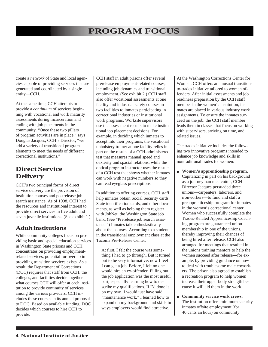create a *network* of State and local agencies capable of providing services that are generated and coordinated by a single entity—CCH.

At the same time, CCH attempts to provide a *continuum* of services beginning with vocational and work maturity assessments during incarceration and ending with job placements in the community. "Once these two pillars of program activities are in place," says Douglas Jacques, CCH's Director, "we add a variety of transitional program elements to meet the needs of different correctional institutions."

#### **Direct Service Delivery**

CCH's two principal forms of direct service delivery are the provision of institution courses and postrelease job search assistance. As of 1998, CCH had the resources and institutional interest to provide direct services in five adult and seven juvenile institutions. (See exhibit 1.)

#### **Adult institutions**

While community colleges focus on providing basic and special education services in Washington State prisons and CCH concentrates on providing employmentrelated services, potential for overlap in providing transition services exists. As a result, the Department of Corrections (DOC) requires that staff from CCH, the colleges, and facilities decide together what courses CCH will offer at each institution to provide continuity of services among the various providers. CCH includes these courses in its annual proposal to DOC. Based on available funding, DOC decides which courses to hire CCH to provide.

CCH staff in adult prisons offer several prerelease employment-related courses, including job dynamics and transitional employment. (See exhibit 2.) CCH staff also offer vocational assessments at one facility and industrial safety courses in two facilities to inmates participating in correctional industries or institutional work programs. Worksite supervisors use the assessment results to make institutional job placement decisions. For example, in deciding which inmates to accept into their programs, the vocational upholstery trainer at one facility relies in part on the results of a CCH-administered test that measures manual speed and dexterity and spacial relations, while the optical program instructor uses the results of a CCH test that shows whether inmates can work with negative numbers so they can read eyeglass prescriptions.

In addition to offering courses, CCH staff help inmates obtain Social Security cards, State identification cards, and other documents, as well as helping them register with JobNet, the Washington State job bank. (See "Prerelease job search assistance.") Inmates talk enthusiastically about the courses. According to a student in the transitional employment class at the Tacoma Pre-Release Center:

At first, I felt the course was something I had to go through. But it turned out to be very informative; now I feel I can get a job. Before, I felt no one would hire an ex-offender. Filling out the job application was the most useful part, especially learning how to describe my qualifications. If I'd done it on my own, I would just have said, "maintenance work." I learned how to expand on my background and skills in ways employers would find attractive.

At the Washington Corrections Center for Women, CCH offers an unusual transitionto-trades initiative tailored to women offenders. After initial assessments and job readiness preparation by the CCH staff member in the women's institution, inmates are placed in various industry work assignments. To ensure the inmates succeed on the job, the CCH staff member leads them in classes that focus on working with supervisors, arriving on time, and related issues.

The trades initiative includes the following two innovative programs intended to enhance job knowledge and skills in nontraditional trades for women:

- **Women's apprenticeship program.** Capitalizing in part on his background as a journeyman meatcutter, CCH Director Jacques persuaded three unions—carpenters, laborers, and ironworkers—to fund and staff a preapprenticeship program for inmates in the women's correctional center. Women who successfully complete the Trades-Related Apprenticeship Coaching program are guaranteed union membership in one of the unions, thereby improving their chances of being hired after release. CCH also arranged for meetings that resulted in the unions training mentors to help the women succeed after release—for example, by providing guidance on how to deal with troublesome male coworkers. The prison also agreed to establish a recreation program to help women increase their upper body strength because it will aid them in the work.
- **Community service work crews.** The institution offers minimum security inmates offsite employment (for 40 cents an hour) on community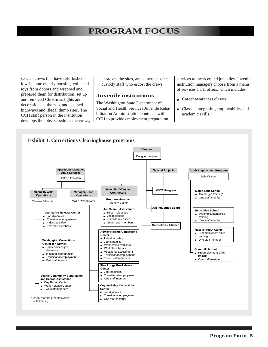service crews that have refurbished low-income elderly housing, collected toys from donors and wrapped and prepared them for distribution, set up and removed Christmas lights and decorations at the zoo, and cleaned highways and illegal dump sites. The CCH staff person in the institution develops the jobs, schedules the crews, approves the sites, and supervises the custody staff who escort the crews.

#### **Juvenile institutions**

The Washington State Department of Social and Health Services Juvenile Rehabilitation Administration contracts with CCH to provide employment preparation

services to incarcerated juveniles. Juvenile institution managers choose from a menu of services CCH offers, which includes:

- Career awareness classes.
- Classes integrating employability and academic skills.

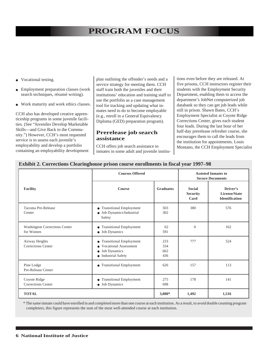- Vocational testing.
- Employment preparation classes (work search techniques, résumé writing).
- Work maturity and work ethics classes.

CCH also has developed creative apprenticeship programs in some juvenile facilities. (See "Juveniles Develop Marketable Skills—and Give Back to the Community.") However, CCH's most requested service is to assess each juvenile's employability and develop a portfolio containing an employability development plan outlining the offender's needs and a service strategy for meeting them. CCH staff train both the juveniles and their institutions' education and training staff to use the portfolio as a case management tool for tracking and updating what inmates need to do to become employable (e.g., enroll in a General Equivalency Diploma (GED) preparation program).

#### **Prerelease job search assistance**

CCH offers job search assistance to inmates in some adult and juvenile institutions even before they are released. At five prisons, CCH instructors register their students with the Employment Security Department, enabling them to access the department's JobNet computerized job databank so they can get job leads while still in prison. Shawn Bates, CCH's Employment Specialist at Coyote Ridge Corrections Center, gives each student four leads. During the last hour of her half-day prerelease refresher course, she encourages them to call the leads from the institution for appointments. Louis Montano, the CCH Employment Specialist

|                                                   | <b>Courses Offered</b>                                                                                             |                          | <b>Assisted Inmates to</b><br><b>Secure Documents</b> |                                                    |
|---------------------------------------------------|--------------------------------------------------------------------------------------------------------------------|--------------------------|-------------------------------------------------------|----------------------------------------------------|
| <b>Facility</b>                                   | Course                                                                                                             | <b>Graduates</b>         | <b>Social</b><br><b>Security</b><br>Card              | Driver's<br>License/State<br><b>Identification</b> |
| Tacoma Pre-Release<br>Center                      | • Transitional Employment<br>· Job Dynamics/Industrial<br>Safety                                                   | 503<br>302               | 380                                                   | 576                                                |
| <b>Washington Corrections Center</b><br>for Women | • Transitional Employment<br>• Job Dynamics                                                                        | 62<br>591                | $\Omega$                                              | 162                                                |
| Airway Heights<br><b>Corrections Center</b>       | <b>Transitional Employment</b><br><b>Vocational Assessment</b><br>Job Dynamics<br>$\bullet$<br>• Industrial Safety | 233<br>334<br>662<br>436 | 777                                                   | 524                                                |
| Pine Lodge<br>Pre-Release Center                  | • Transitional Employment                                                                                          | 626                      | 157                                                   | 113                                                |
| Coyote Ridge<br><b>Corrections Center</b>         | <b>Transitional Employment</b><br>$\bullet$<br>• Job Dynamics                                                      | 275<br>698               | 178                                                   | 141                                                |
| <b>TOTAL</b>                                      |                                                                                                                    | 3,080*                   | 1,492                                                 | 1,516                                              |

#### **Exhibit 2. Corrections Clearinghouse prison course enrollments in fiscal year 1997–98**

\* The same inmate could have enrolled in and completed more than one course at each institution. As a result, to avoid double counting program completers, this figure represents the sum of the most well-attended course at each institution.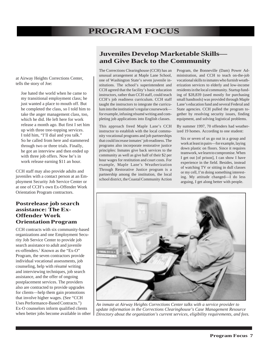at Airway Heights Corrections Center, tells the story of Joe:

Joe hated the world when he came to my transitional employment class; he just wanted a place to mouth off. But he completed the class, so I told him to take the anger management class, too, which he did. He left here for work release a month ago. But first I set him up with three tree-topping services. I told him, "I'll dial and you talk." So he called from here and stammered through two or three trials. Finally, he got an interview and then ended up with three job offers. Now he's in work release earning \$11 an hour.

CCH staff may also provide adults and juveniles with a contact person at an Employment Security Job Service Center or at one of CCH's own Ex-Offender Work Orientation Program contractors.

#### **Postrelease job search assistance: The Ex-Offender Work Orientation Program**

CCH contracts with six community-based organizations and one Employment Security Job Service Center to provide job search assistance to adult and juvenile ex-offenders.<sup>1</sup> Known as the "Ex-O" Program, the seven contractors provide individual vocational assessments, job counseling, help with résumé writing and interviewing techniques, job search assistance, and the offer of ongoing postplacement services. The providers also are contracted to provide upgrades for clients—help them gain promotions that involve higher wages. (See "CCH Uses Performance-Based Contracts.") Ex-O counselors inform qualified clients when better jobs become available in other

#### **Juveniles Develop Marketable Skills and Give Back to the Community**

The Corrections Clearinghouse (CCH) has an unusual arrangement at Maple Lane School, one of Washington State's seven juvenile institutions. The school's superintendent and CCH agreed that the facility's basic education instructors, rather than CCH staff, could teach CCH's job readiness curriculum. CCH staff taught the instructors to integrate the curriculum into the institution's regular coursework for example, infusing résumé writing and completing job applications into English classes.

This approach freed Maple Lane's CCH instructor to establish with the local community vocational programs and job partnerships that could increase inmates' job readiness. The programs also incorporate restorative justice principles: Inmates give back services to the community as well as give half of their \$2 per hour wages for restitution and court costs. For example, Maple Lane's Weatherization Through Restorative Justice program is a partnership among the institution, the local school district, the Coastal Community Action

Program, the Bonneville (Dam) Power Administration, and CCH to teach on-the-job vocational skills to inmates who furnish weatherization services to elderly and low-income residents in the local community. Startup funding of \$28,839 (used mostly for purchasing small handtools) was provided through Maple Lane's education fund and several Federal and State agencies. CCH pulled the program together by resolving security issues, finding equipment, and solving logistical problems.

By summer 1997, 70 offenders had weatherized 19 homes. According to one student:

Six or seven of us go out in a group and work at least in pairs—for example, laying down plastic on floors. Since it requires teamwork, we learn to compromise. When I get out [of prison], I can show I have experience in the field. Besides, instead of watching TV or sitting in dull classes or my cell, I'm doing something interesting. My attitude changed—I do less arguing, I get along better with people.



*An inmate at Airway Heights Corrections Center talks with a service provider to update information in the Corrections Clearinghouse's Case Management Resource Directory about the organization's current services, eligibility requirements, and fees.*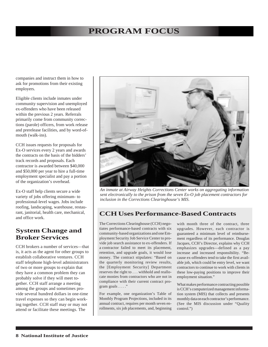companies and instruct them in how to ask for promotions from their existing employers.

Eligible clients include inmates under community supervision and unemployed ex-offenders who have been released within the previous 2 years. Referrals primarily come from community corrections (parole) officers, from work release and prerelease facilities, and by word-ofmouth (walk-ins).

CCH issues requests for proposals for Ex-O services every 2 years and awards the contracts on the basis of the bidders' track records and proposals. Each contractor is awarded between \$40,000 and \$50,000 per year to hire a full-time employment specialist and pay a portion of the organization's overhead.

Ex-O staff help clients secure a wide variety of jobs offering minimum- to professional-level wages. Jobs include roofing, landscaping, warehouse, restaurant, janitorial, health care, mechanical, and office work.

#### **System Change and Broker Services**

CCH brokers a number of services—that is, it acts as the agent for other groups to establish collaborative ventures. CCH staff telephone high-level administrators of two or more groups to explain that they have a common problem they can probably solve if they will meet together. CCH staff arrange a meeting among the groups and sometimes provide several hundred dollars in one-time travel expenses so they can begin working together. CCH staff may or may not attend or facilitate these meetings. The



*An inmate at Airway Heights Corrections Center works on aggregating information sent electronically to the prison from the seven Ex-O job placement contractors for inclusion in the Corrections Clearinghouse's MIS.*

#### **CCH Uses Performance-Based Contracts**

The Corrections Clearinghouse (CCH) negotiates performance-based contracts with six community-based organizations and one Employment Security Job Service Center to provide job search assistance to ex-offenders. If a contractor failed to meet its placement, retention, and upgrade goals, it would lose money. The contract stipulates: "Based on the quarterly monitoring review results, the [Employment Security] Department reserves the right to . . . withhold and reallocate monies from contractors who are not in compliance with their current contract program goals . . . ."

For example, one organization's Table of Monthly Program Projections, included in its annual contract, requires per month seven enrollments, six job placements, and, beginning

with month three of the contract, three upgrades. However, each contractor is guaranteed a minimum level of reimbursement regardless of its performance. Douglas Jacques, CCH's Director, explains why CCH emphasizes upgrades—defined as a pay increase and increased responsibility. "Because ex-offenders tend to take the first available job, which could be entry level, we want contractors to continue to work with clients in these low-paying positions to improve their employment situation."

What makes performance contracting possible is CCH's computerized management information system (MIS) that collects and presents monthly data on each contractor's performance. (See the MIS discussion under "Quality control.")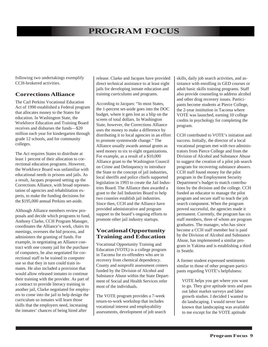following two undertakings exemplify CCH-brokered activities.

#### **Corrections Alliance**

The Carl Perkins Vocational Education Act of 1990 established a Federal program that allocates money to the States for education. In Washington State, the Workforce Education and Training Board receives and disburses the funds—\$20 million each year for kindergarten through grade 12 schools, and for community colleges.

The Act requires States to distribute at least 1 percent of their allocation to correctional education programs. However, the Workforce Board was unfamiliar with educational needs in prisons and jails. As a result, Jacques proposed setting up the Corrections Alliance, with broad representation of agencies and rehabilitation experts, to make the funding decisions for the \$195,000 annual Perkins set-aside.

Although Alliance members review proposals and decide which programs to fund, Anthony Clarke, CCH Program Manager, coordinates the Alliance's work, chairs its meetings, oversees the bid process, and administers the granting of funds. For example, in negotiating an Alliance contract with one county jail for the purchase of computers, he also negotiated for correctional staff to be trained in computer use so that they in turn could train inmates. He also included a provision that would allow released inmates to continue their training with the provider. As part of a contract to provide literacy training in another jail, Clarke negotiated for employers to come into the jail to help design the curriculum so inmates will learn those skills that the employers need, increasing the inmates' chances of being hired after

release. Clarke and Jacques have provided direct technical assistance to at least eight jails for developing inmate education and training curriculums and programs.

According to Jacques: "In most States, the 1-percent set-aside goes into the DOC budget, where it gets lost as a blip on the screen of total dollars. In Washington State, however, the Corrections Alliance uses the money to make a difference by distributing it to local agencies in an effort to promote systemwide change." The Alliance usually awards annual grants as seed money to six to eight organizations. For example, as a result of a \$10,000 Alliance grant to the Washington Council on Crime and Delinquency to introduce the State to the concept of jail industries, local sheriffs and police chiefs supported legislation in 1993 to create the Jail Industries Board. The Alliance then awarded a grant to the Jail Industries Board to help two counties establish jail industries. Since then, CCH and the Alliance have provided administrative and program support to the board's ongoing efforts to promote other jail industry startups.

#### **Vocational Opportunity Training and Education**

Vocational Opportunity Training and Education (VOTE) is a college program in Tacoma for ex-offenders who are in recovery from chemical dependency. County and nonprofit assessment centers funded by the Division of Alcohol and Substance Abuse within the State Department of Social and Health Services refer most of the individuals.

The VOTE program provides a 7-week return-to-work workshop that includes vocational interest and employability assessments, development of job search skills, daily job search activities, and assistance with enrolling in GED courses or adult basic skills training programs. Staff also provide counseling to address alcohol and other drug recovery issues. Participants become students at Pierce College, the 2-year institution in Tacoma where VOTE was launched, earning 10 college credits in psychology for completing the program.

CCH contributed to VOTE's initiation and success. Initially, the director of a local vocational program met with two administrators from Pierce College and from the Division of Alcohol and Substance Abuse to suggest the creation of a pilot job search program for recovering substance abusers. CCH staff found money for the pilot program in the Employment Security Department's budget to match contributions by the division and the college. CCH funded an educator to manage the pilot program and secure staff to teach the job search component. When the program proved successful, the agencies made it permanent. Currently, the program has six staff members, three of whom are program graduates. The manager, who has since become a CCH staff member but is paid by the Division of Alcohol and Substance Abuse, has implemented a similar program in Yakima and is establishing a third in Seattle.

A former student expressed sentiments similar to those of other program participants regarding VOTE's helpfulness:

VOTE helps you get where you want to go. They give aptitude tests and pass out labor market surveys and labor growth studies. I decided I wanted to do landscaping. I would never have known that landscaping was available to me except for the VOTE aptitude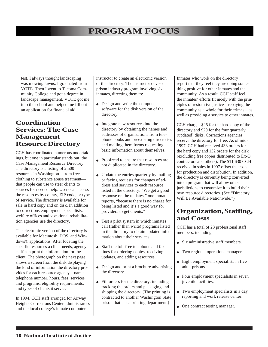test. I always thought landscaping was mowing lawns. I graduated from VOTE. Then I went to Tacoma Community College and got a degree in landscape management. VOTE got me into the school and helped me fill out an application for financial aid.

#### **Coordination Services: The Case Management Resource Directory**

CCH has coordinated numerous undertakings, but one in particular stands out: the Case Management Resource Directory. The directory is a listing of 2,500 resources in Washington—from free clothing to substance abuse treatment that people can use to steer clients to sources for needed help. Users can access the resources by county, ZIP code, or type of service. The directory is available for sale in hard copy and on disk. In addition to corrections employment specialists, welfare offices and vocational rehabilitation agencies use the directory.

The electronic version of the directory is available for Macintosh, DOS, and Windows® applications. After locating the specific resources a client needs, agency staff can print the information for the client. The photograph on the next page shows a screen from the disk displaying the kind of information the directory provides for each resource agency—name, telephone number, hours, fees, services and programs, eligibility requirements, and types of clients it serves.

In 1994, CCH staff arranged for Airway Heights Corrections Center administrators and the local college's inmate computer

instructor to create an electronic version of the directory. The instructor devised a prison industry program involving six inmates, directing them to:

- Design and write the computer software for the disk version of the directory.
- Integrate new resources into the directory by obtaining the names and addresses of organizations from telephone books and preexisting directories and mailing them forms requesting basic information about themselves.
- Proofread to ensure that resources are not duplicated in the directory.
- Update the entries quarterly by mailing or faxing requests for changes of address and services to each resource listed in the directory. "We get a good response on the updates," one inmate reports, "because there is no charge for being listed and it's a good way for providers to get clients."
- Test a pilot system in which inmates call (rather than write) programs listed in the directory to obtain updated information about their services.
- Staff the toll-free telephone and fax lines for ordering copies, receiving updates, and adding resources.
- Design and print a brochure advertising the directory.
- Fill orders for the directory, including tracking the orders and packaging and shipping the directory. (The printing is contracted to another Washington State prison that has a printing department.)

Inmates who work on the directory report that they feel they are doing something positive for other inmates and the community. As a result, CCH staff feel the inmates' efforts fit nicely with the principles of restorative justice—repaying the community as a whole for their crimes—as well as providing a service to other inmates.

CCH charges \$25 for the hard copy of the directory and \$20 for the four quarterly (updated) disks. Corrections agencies receive the directory for free. As of mid-1997, CCH had received 433 orders for the hard copy and 132 orders for the disk (excluding free copies distributed to Ex-O contractors and others). The \$11,630 CCH received in sales in 1997 offset the costs for production and distribution. In addition, the directory is currently being converted into a program that will allow other jurisdictions to customize it to build their own resource directories. (See "Directory Will Be Available Nationwide.")

#### **Organization, Staffing, and Costs**

CCH has a total of 23 professional staff members, including:

- Six administrative staff members.
- Two regional operations managers.
- Eight employment specialists in five adult prisons.
- Four employment specialists in seven juvenile facilities.
- Two employment specialists in a day reporting and work release center.
- One contract testing manager.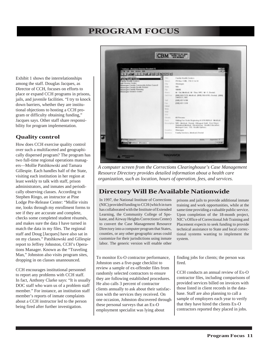Exhibit 1 shows the interrelationships among the staff. Douglas Jacques, as Director of CCH, focuses on efforts to place or expand CCH programs in prisons, jails, and juvenile facilities. "I try to knock down barriers, whether they are institutional objections to hosting a CCH program or difficulty obtaining funding," Jacques says. Other staff share responsibility for program implementation.

#### **Quality control**

How does CCH exercise quality control over such a multifaceted and geographically dispersed program? The program has two full-time regional operations managers—Mollie Patshkowski and Tamara Gillespie. Each handles half of the State, visiting each institution in her region at least weekly to talk with staff, prison administrators, and inmates and periodically observing classes. According to Stephen Ringo, an instructor at Pine Lodge Pre-Release Center: "Mollie visits me, looks through my enrollment forms to see if they are accurate and complete, checks some completed student résumés, and makes sure the data I have turned in match the data in my files. The regional staff and Doug [Jacques] have also sat in on my classes." Patshkowski and Gillespie report to Jeffrey Johnston, CCH's Operations Manager. Known as the "Traveling Man," Johnston also visits program sites, dropping in on classes unannounced.

CCH encourages institutional personnel to report any problems with CCH staff. In fact, Anthony Clarke says: "It is usually DOC staff who warn us of a problem staff member." For instance, an institution staff member's reports of inmate complaints about a CCH instructor led to the person being fired after further investigation.



*A computer screen from the Corrections Clearinghouse's Case Management Resource Directory provides detailed information about a health care organization, such as location, hours of operation, fees, and services.*

### **Directory Will Be Available Nationwide**

In 1997, the National Institute of Corrections (NIC) provided funding to CCH (which in turn has collaborated with the Institute of Extended Learning, the Community College of Spokane, and Airway Heights Corrections Center) to convert the Case Management Resource Directory into a computer program that States, counties, or any other geographic areas could customize for their jurisdictions using inmate labor. The generic version will enable other

prisons and jails to provide additional inmate training and work opportunities, while at the same time providing a valuable public service. Upon completion of the 18-month project, NIC's Office of Correctional Job Training and Placement expects to seek funding to provide technical assistance to State and local correctional systems wanting to implement the system.

To monitor Ex-O contractor performance, Johnston uses a five-page checklist to review a sample of ex-offender files from randomly selected contractors to ensure they are following established procedures. He also calls 3 percent of contractor clients annually to ask about their satisfaction with the services they received. On one occasion, Johnston discovered through these personal surveys that an Ex-O employment specialist was lying about

finding jobs for clients; the person was fired.

CCH conducts an annual review of Ex-O contractor files, including comparisons of provided services billed on invoices with those listed in client records in the database. Staff are also planning to call a sample of employers each year to verify that they have hired the clients Ex-O contractors reported they placed in jobs.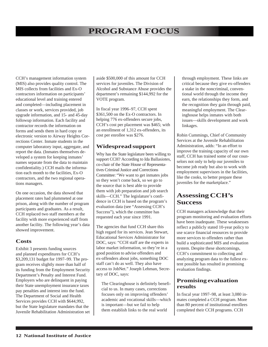CCH's management information system (MIS) also provides quality control. The MIS collects from facilities and Ex-O contractors information on participants' educational level and training entered and completed—including placement in classes or work, services provided, job upgrade information, and 15- and 45-day followup information. Each facility and contractor records the information on forms and sends them in hard copy or electronic version to Airway Heights Corrections Center. Inmate students in the computer laboratory input, aggregate, and report the data. (Inmates themselves developed a system for keeping inmates' names separate from the data to maintain confidentiality.) CCH mails the information each month to the facilities, Ex-O contractors, and the two regional operations managers.

On one occasion, the data showed that placement rates had plummeted at one prison, along with the number of program participants and graduates. As a result, CCH replaced two staff members at the facility with more experienced staff from another facility. The following year's data showed improvement.

#### **Costs**

Exhibit 3 presents funding sources and planned expenditures for CCH's \$3,209,131 budget for 1997–99. The program receives slightly more than half of its funding from the Employment Security Department's Penalty and Interest Fund. Employers who are delinquent in paying their State unemployment insurance taxes pay penalties and interest into the fund. The Department of Social and Health Services provides CCH with \$644,992, but the State legislature mandates that the Juvenile Rehabilitation Administration set aside \$500,000 of this amount for CCH services for juveniles. The Division of Alcohol and Substance Abuse provides the department's remaining \$144,992 for the VOTE program.

In fiscal year 1996–97, CCH spent \$361,500 on the Ex-O contractors. In helping 776 ex-offenders secure jobs, CCH's cost per placement was \$465; with an enrollment of 1,312 ex-offenders, its cost per enrollee was \$276.

#### **Widespread support**

Why has the State legislature been willing to support CCH? According to Ida Ballasiotes, co-chair of the State House of Representatives Criminal Justice and Corrections Committee: "We want to get inmates jobs so they won't come back, so we go to the source that is best able to provide them with job preparation and job search skills—CCH." The legislature's confidence in CCH is based on the program's evaluation data (see "Assessing CCH's Success"), which the committee has requested each year since 1991.

The agencies that fund CCH share this high regard for its services. Jean Stewart, Educational Services Administrator for DOC, says: "CCH staff are the experts in labor market information, so they're in a good position to advise offenders and ex-offenders about jobs, something DOC staff can't do as well. They also have access to JobNet." Joseph Lehman, Secretary of DOC, says:

The Clearinghouse is definitely beneficial to us. In many cases, corrections focuses only on improving offenders' academic and vocational skills—which is important—but we fail to help them establish links to the real world

through employment. These links are critical because they give ex-offenders a stake in the noncriminal, conventional world through the income they earn, the relationships they form, and the recognition they gain through paid, meaningful employment. The Clearinghouse helps inmates with both issues—skills development and work linkages.

Robin Cummings, Chief of Community Services at the Juvenile Rehabilitation Administration, adds: "In an effort to improve the training capacity of our own staff, CCH has trained some of our counselors not only to help our juveniles to become job ready but also to work with employment supervisors in the facilities, like the cooks, to better prepare these juveniles for the marketplace."

#### **Assessing CCH's Success**

CCH managers acknowledge that their program monitoring and evaluation efforts have been inadequate. These weaknesses reflect a publicly stated 10-year policy to use scarce financial resources to provide more services to offenders rather than build a sophisticated MIS and evaluation system. Despite these shortcomings, CCH's commitment to collecting and analyzing program data to the fullest extent possible has resulted in promising evaluation findings.

#### **Promising evaluation results**

In fiscal year 1997–98, at least 3,080 inmates completed a CCH program. More than 80 percent of institutional enrollees completed their CCH programs. CCH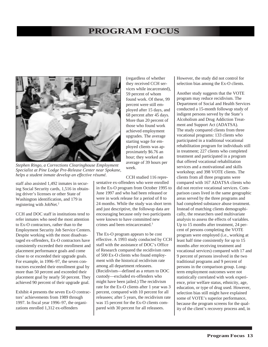

*Stephen Ringo, a Corrections Clearinghouse Employment Specialist at Pine Lodge Pre-Release Center near Spokane, helps a student inmate develop an effective résumé.*

staff also assisted 1,492 inmates in securing Social Security cards, 1,516 in obtaining driver's licenses or other State of Washington identification, and 179 in registering with JobNet.2

CCH and DOC staff in institutions tend to refer inmates who need the most attention to Ex-O contractors, rather than to the Employment Security Job Service Centers. Despite working with the most disadvantaged ex-offenders, Ex-O contractors have consistently exceeded their enrollment and placement performance goals and come close to or exceeded their upgrade goals. For example, in 1996–97, the seven contractors exceeded their enrollment goal by more than 50 percent and exceeded their placement goal by nearly 50 percent. They achieved 90 percent of their upgrade goal.

Exhibit 4 presents the seven Ex-O contractors' achievements from 1989 through 1997. In fiscal year 1996–97, the organizations enrolled 1,312 ex-offenders

(regardless of whether they received CCH services while incarcerated), 59 percent of whom found work. Of these, 99 percent were still employed after 15 days, and 68 percent after 45 days. More than 20 percent of those who found work achieved employment upgrades. The average starting wage for employed clients was approximately \$6.76 an hour; they worked an average of 39 hours per week.

CCH studied 116 representative ex-offenders who were enrolled in the Ex-O program from October 1995 to June 1997 and who had been released or were in work release for a period of 8 to 24 months. While the study was short term and just descriptive, the followup data are encouraging because only two participants were known to have committed new crimes and been reincarcerated.3

The Ex-O program appears to be cost effective. A 1993 study conducted by CCH staff with the assistance of DOC's Office of Research compared the recidivism rates of 500 Ex-O clients who found employment with the historical recidivism rate among all department releasees. (Recidivism—defined as a return to DOC custody—excluded ex-offenders who might have been jailed.) The recidivism rate for the Ex-O clients after 1 year was 3 percent, compared with 10 percent for all releasees; after 5 years, the recidivism rate was 15 percent for the Ex-O clients compared with 30 percent for all releasees.

However, the study did not control for selection bias among the Ex-O clients.

Another study suggests that the VOTE program may reduce recidivism. The Department of Social and Health Services conducted a 15-month followup study of indigent persons served by the State's Alcoholism and Drug Addiction Treatment and Support Act (ADATSA). The study compared clients from three vocational programs: 133 clients who participated in a traditional vocational rehabilitation program for individuals still in treatment; 227 clients who completed treatment and participated in a program that offered vocational rehabilitation services and a motivational and skills workshop; and 398 VOTE clients. The clients from all three programs were compared with 167 ADATSA clients who did not receive vocational services. Comparison cases lived in the same geographic areas served by the three programs and had completed substance abuse treatment. Instead of matching clients demographically, the researchers used multivariate analysis to assess the effects of variables. Up to 15 months after treatment, 24 percent of persons completing the VOTE program were employed (i.e., working at least half time consistently for up to 15 months after receiving treatment and vocational services) compared with 17 and 9 percent of persons involved in the two traditional programs and 9 percent of persons in the comparison group. Longterm employment outcomes were not statistically correlated with work experience, prior welfare status, ethnicity, age, education, or type of drug used. However, selection bias still might have explained some of VOTE's superior performance, because the program screens for the quality of the client's recovery process and, in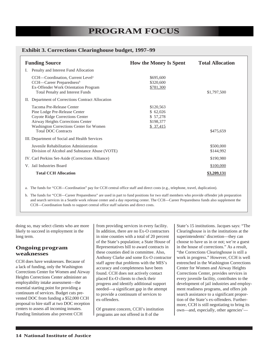#### **Exhibit 3. Corrections Clearinghouse budget, 1997–99**

| <b>Funding Source</b>                                                                                                                                                                                       | <b>How the Money Is Spent</b>                               | <b>Total Allocation</b> |  |  |
|-------------------------------------------------------------------------------------------------------------------------------------------------------------------------------------------------------------|-------------------------------------------------------------|-------------------------|--|--|
| Penalty and Interest Fund Allocation<br>Ι.                                                                                                                                                                  |                                                             |                         |  |  |
| CCH—Coordination, Current Level <sup>a</sup><br>CCH-Career Preparedness <sup>b</sup><br>Ex-Offender Work Orientation Program<br><b>Total Penalty and Interest Funds</b>                                     | \$695,600<br>\$320,600<br>\$781,300                         | \$1,797,500             |  |  |
| II. Department of Corrections Contract Allocation                                                                                                                                                           |                                                             |                         |  |  |
| Tacoma Pre-Release Center<br>Pine Lodge Pre-Release Center<br>Coyote Ridge Corrections Center<br>Airway Heights Corrections Center<br>Washington Corrections Center for Women<br><b>Total DOC Contracts</b> | \$120,563<br>\$62,026<br>\$57,278<br>\$198,377<br>\$ 37,415 | \$475,659               |  |  |
| III. Department of Social and Health Services                                                                                                                                                               |                                                             |                         |  |  |
| Juvenile Rehabilitation Administration<br>Division of Alcohol and Substance Abuse (VOTE)                                                                                                                    |                                                             | \$500,000<br>\$144,992  |  |  |
| IV. Carl Perkins Set-Aside (Corrections Alliance)                                                                                                                                                           |                                                             | \$190,980               |  |  |
| V. Jail Industries Board                                                                                                                                                                                    |                                                             | \$100,000               |  |  |
| <b>Total CCH Allocation</b>                                                                                                                                                                                 |                                                             | \$3,209,131             |  |  |

a. The funds for "CCH—Coordination" pay for CCH central office staff and direct costs (e.g., telephone, travel, duplication).

b. The funds for "CCH—Career Preparedness" are used in part to fund positions for two staff members who provide offender job preparation and search services in a Seattle work release center and a day reporting center. The CCH—Career Preparedness funds also supplement the CCH—Coordination funds to support central office staff salaries and direct costs.

doing so, may select clients who are more likely to succeed in employment in the long term.

#### **Ongoing program weaknesses**

CCH does have weaknesses. Because of a lack of funding, only the Washington Corrections Center for Women and Airway Heights Corrections Center administer an employability intake assessment—the essential starting point for providing a continuum of services. Budget cuts prevented DOC from funding a \$52,000 CCH proposal to hire staff at two DOC reception centers to assess all incoming inmates. Funding limitations also prevent CCH

from providing services in every facility. In addition, there are no Ex-O contractors in nine counties with a total of 20 percent of the State's population; a State House of Representatives bill to award contracts in these counties died in committee. Also, Anthony Clarke and some Ex-O contractor staff agree that problems with the MIS's accuracy and completeness have been found. CCH does not actively contact placed Ex-O clients to check their progress and identify additional support needed—a significant gap in the attempt to provide a continuum of services to ex-offenders.

Of greatest concern, CCH's institution programs are not offered in 8 of the

State's 15 institutions. Jacques says: "The Clearinghouse is in the institutions at the superintendents' discretion—they can choose to have us in or not; we're a guest in the house of corrections." As a result, "the Corrections Clearinghouse is still a work in progress." However, CCH is well entrenched in the Washington Corrections Center for Women and Airway Heights Corrections Center, provides services in every juvenile facility, contributes to the development of jail industries and employment readiness programs, and offers job search assistance to a significant proportion of the State's ex-offenders. Furthermore, CCH is still negotiating to bring its own—and, especially, other agencies'—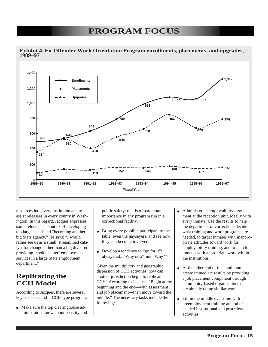

**Exhibit 4. Ex-Offender Work Orientation Program enrollments, placements, and upgrades, 1989–97**

resources into every institution and to assist releasees in every county in Washington. In this regard, Jacques expresses some reluctance about CCH developing too large a staff and "becoming another big State agency." He says: "I would rather see us as a small, streamlined catalyst for change rather than a big division providing 'cookie cutter' employment services in a large State employment department."

### **Replicating the CCH Model**

According to Jacques, there are several keys to a successful CCH-type program:

• Make sure the top clearinghouse administrators know about security and public safety; that is of paramount importance in any program run in a correctional facility.

- Bring every possible participant to the table, even the naysayers, and see how they can become involved.
- Develop a tendency to "go for it": always ask, "Why not?" not "Why?"

Given the multiplicity and geographic dispersion of CCH activities, how can another jurisdiction begin to replicate CCH? According to Jacques: "Begin at the beginning and the end—with assessment and job placement—then move toward the middle." The necessary tasks include the following:

- Administer an employability assessment at the reception unit, ideally with every inmate. Use the results to help the department of corrections decide what training and work programs are needed, to target inmates with inappropriate attitudes toward work for employability training, and to match inmates with appropriate work within the institutions.
- At the other end of the continuum, create immediate results by providing a job placement component through community-based organizations that are already doing similar work.
- Fill in the middle over time with preemployment training and other needed institutional and postrelease activities.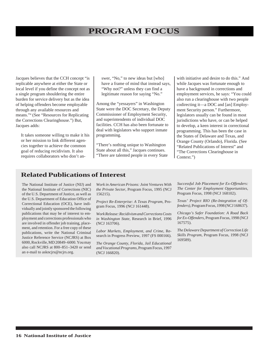Jacques believes that the CCH concept "is replicable anywhere at either the State or local level if you define the concept not as a single program shouldering the entire burden for service delivery but as the idea of helping offenders become employable through any available resources and means."4 (See "Resources for Replicating the Corrections Clearinghouse.") But, Jacques adds:

It takes someone willing to make it his or her mission to link different agencies together to achieve the common goal of reducing recidivism. It also requires collaborators who don't answer, "No," to new ideas but [who] have a frame of mind that instead says, "Why not?" unless they can find a legitimate reason for saying "No."

Among the "yessayers" in Washington State were the DOC Secretary, the Deputy Commissioner of Employment Security, and superintendents of individual DOC facilities. CCH has also been fortunate to deal with legislators who support inmate programming.

"There's nothing unique to Washington State about all this," Jacques continues. "There are talented people in every State with initiative and desire to do this." And while Jacques was fortunate enough to have a background in corrections and employment services, he says: "You could also run a clearinghouse with two people codirecting it—a DOC and [an] Employment Security person." Furthermore, legislators usually can be found in most jurisdictions who have, or can be helped to develop, a keen interest in correctional programming. This has been the case in the States of Delaware and Texas, and Orange County (Orlando), Florida. (See "Related Publications of Interest" and "The Corrections Clearinghouse in Context.")

#### **Related Publications of Interest**

The National Institute of Justice (NIJ) and the National Institute of Corrections (NIC) of the U.S. Department of Justice, as well as the U.S. Department of Education Office of Correctional Education (OCE), have individually and jointly sponsored the following publications that may be of interest to employment and corrections professionals who are involved in offender job training, placement, and retention. For a free copy of these publications, write the National Criminal Justice Reference Service (NCJRS) at Box 6000, Rockville, MD 20849–6000. You may also call NCJRS at 800–851–3420 or send an e-mail to askncjrs@ncjrs.org.

*Work in American Prisons: Joint Ventures With the Private Sector*, Program Focus, 1995 (NCJ 156215).

*Project Re-Enterprise: A Texas Program*, Program Focus, 1996 (NCJ 161448).

*Work Release: Recidivism and Corrections Costs in Washington State*, Research in Brief, 1996 (NCJ 163706).

*Labor Markets, Employment, and Crime*, Research in Progress Preview, 1997 (FS 000166).

*The Orange County, Florida, Jail Educational and Vocational Programs*, Program Focus, 1997 (NCJ 166820).

*Successful Job Placement for Ex-Offenders: The Center for Employment Opportunities*, Program Focus, 1998 (NCJ 168102).

*Texas' Project RIO (Re-Integration of Offenders)*, Program Focus, 1998 (NCJ 168637).

*Chicago's Safer Foundation: A Road Back for Ex-Offenders*, Program Focus, 1998 (NCJ 167575).

*The Delaware Department of Correction Life Skills Program*, Program Focus, 1998 (NCJ 169589).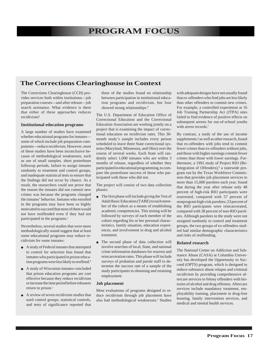#### **The Corrections Clearinghouse in Context**

The Corrections Clearinghouse (CCH) provides services both within institutions—job preparation courses—and after release—job search assistance. What evidence is there that either of these approaches reduces recidivism?

#### **Institutional education programs**

A large number of studies have examined whether educational programs for inmates some of which include job preparation components—reduce recidivism. However, most of these studies have been inconclusive because of methodological weaknesses, such as use of small samples, short postrelease followup periods, failure to assign inmates randomly to treatment and control groups, and inadequate statistical tests to ensure that the findings did not occur by chance. As a result, the researchers could not prove that the reason the inmates did not commit new crimes was because the programs changed the inmates' behavior. Inmates who enrolled in the programs may have been so highly motivated to succeed that most of them would not have reoffended even if they had not participated in the programs.<sup>a</sup>

Nevertheless, several studies that were more methodologically sound suggest that at least some educational programs may reduce recidivism for some inmates:

- A study of Federal inmates that attempted to control for selection bias found that inmates who participated in prison education programs were less likely to reoffend.<sup>b</sup>
- A study of Wisconsin inmates concluded that prison education programs are cost effective because they reduce recidivism or increase the time period before releasees return to prison. $c$
- A review of seven recidivism studies that used control groups, statistical controls, and tests of significance reported that

three of the studies found no relationship between participation in institutional education programs and recidivism, but four showed strong relationships.<sup>d</sup>

The U.S. Department of Education Office of Correctional Education and the Correctional Education Association are working jointly on a project that is examining the impact of correctional education on recidivism rates. This 30 month study's sample includes every person scheduled to leave three State correctional systems (Maryland, Minnesota, and Ohio) over the course of several weeks. Each State will randomly select 1,000 inmates who are within 3 months of release, regardless of whether they participated in educational programming, to compare the postrelease success of those who participated with those who did not.

The project will consist of two data collection phases:

- The first phase will include giving the Test of Adult Basic Education (TABE) to each member of the cohort as a means of establishing academic competencies. This testing will be followed by surveys of each member of the cohort regarding his or her personal characteristics, family situation, education experiences, and involvement in drug and alcohol treatment.
- The second phase of data collection will involve searches of local, State, and national crime information databases for rearrest and reincarceration rates. This phase will include surveys of probation and parole staff to determine the success rate of a sample of the study participants in obtaining and retaining employment.

#### **Job placement**

Most evaluations of programs designed to reduce recidivism through job placement have also had methodological weaknesses.<sup>e</sup> Studies with adequate designs have not usually found that ex-offenders who find jobs are less likely than other offenders to commit new crimes. For example, a controlled experiment at 16 Job Training Partnership Act (JTPA) sites failed to find evidence of positive effects on subsequent arrests for out-of-school youths with arrest records.<sup>f</sup>

By contrast, a study of the use of income supplements,<sup>g</sup> as well as other research, found that ex-offenders with jobs tend to commit fewer crimes than ex-offenders without jobs, and those with higher earnings commit fewer crimes than those with lower earnings. Furthermore, a 1992 study of Project RIO (Re-Integration of Offenders),<sup>h</sup> a statewide program run by the Texas Workforce Commission that provides job placement services to more than 15,000 parolees each year, found that during the year after release only 48 percent of high-risk RIO participants were rearrested, compared with 57 percent of nonprogram high-risk parolees; 23 percent of the RIO participants were reincarcerated, compared with 38 percent of non-RIO parolees. Although parolees in the study were not assigned randomly to control and treatment groups, the two groups of ex-offenders studied had similar demographic characteristics and risks of reoffending.

#### **Related research**

The National Center on Addiction and Substance Abuse (CASA) at Columbia University has developed the Opportunity to Succeed (OPTS) program, which is designed to reduce substance abuse relapse and criminal recidivism by providing comprehensive aftercare services to felony offenders with histories of alcohol and drug offenses. Aftercare services include mandatory treatment, employability training, placement in drug-free housing, family intervention services, and medical and mental health services.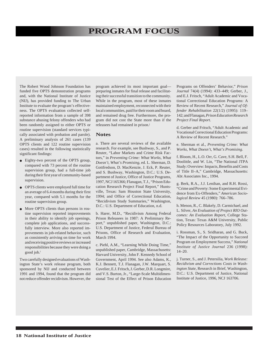The Robert Wood Johnson Foundation has funded five OPTS demonstration programs and, with the National Institute of Justice (NIJ), has provided funding to The Urban Institute to evaluate the program's effectiveness. The OPTS evaluation collected selfreported information from a sample of 398 substance abusing felony offenders who had been randomly assigned to either OPTS or routine supervision (standard services typically associated with probation and parole). A preliminary analysis of 261 cases (139 OPTS clients and 122 routine supervision cases) resulted in the following statistically significant findings:

- Eighty-two percent of the OPTS group, compared with 73 percent of the routine supervision group, had a full-time job during their first year of community-based supervision.
- OPTS clients were employed full time for an average of 6.4 months during their first year, compared with 5.1 months for the routine supervision group.
- More OPTS clients than persons in routine supervision reported improvements in their ability to identify job openings, complete job applications, and successfully interview. More also reported improvements in job-related behavior, such as consistently arriving on time for work and receiving positive reviews or increased responsibilities because they were doing a good job.<sup>i</sup>

Two carefully designed evaluations of Washington State's work release program, both sponsored by NIJ and conducted between 1991 and 1994, found that the program did not reduce offender recidivism. However, the program achieved its most important goal preparing inmates for final release and facilitating their successful transition to the community. While in the program, most of these inmates maintained employment, reconnected with their local communities, paid for their room and board, and remained drug free. Furthermore, the program did not cost the State more than if the releasees had remained in prison.<sup>j</sup>

#### **Notes**

a. There are several reviews of the available research. For example, see Bushway, S., and P. Reuter, "Labor Markets and Crime Risk Factors," in *Preventing Crime: What Works, What Doesn't, What's Promising*, ed. L. Sherman, D. Gottfredson, D. MacKenzie, J. Eck, P. Reuter, and S. Bushway, Washington, D.C.: U.S. Department of Justice, Office of Justice Programs, 1997, NCJ 165366; Flanagan, T.J., "Prison Education Research Project Final Report," Huntsville, Texas: Sam Houston State University, 1994; and Office of Correctional Education, "Recidivism Study Summaries," Washington, D.C.: U.S. Department of Education, n.d.

b. Harer, M.D., "Recidivism Among Federal Prison Releasees in 1987: A Preliminary Report," unpublished paper, Washington, D.C.: U.S. Department of Justice, Federal Bureau of Prisons, Office of Research and Evaluation, March 1994.

c. Piehl, A.M., "Learning While Doing Time," unpublished paper, Cambridge, Massachusetts: Harvard University, John F. Kennedy School of Government, April 1994. See also Adams, K., K.J. Bennett, T.J. Flanagan, J.W. Marquart, S. Cuvelier, E.J. Fritsch, J. Gerber, D.R. Longmire, and V.S. Burton, Jr., "Large-Scale Multidimensional Test of the Effect of Prison Education

Programs on Offenders' Behavior," *Prison Journal* 74(4) (1994): 433–449; Gerber, J., and E.J. Fritsch, "Adult Academic and Vocational Correctional Education Programs: A Review of Recent Research," *Journal of Offender Rehabilitation* 22(1/2) (1995): 119– 142; and Flanagan, *Prison Education Research Project Final Report*.

d. Gerber and Fritsch, "Adult Academic and Vocational Correctional Education Programs: A Review of Recent Research."

e. Sherman et al., *Preventing Crime: What Works, What Doesn't, What's Promising*.

f. Bloom, H., L.O. Orr, G. Cave, S.H. Bell, F. Doolittle, and W. Lin, "The National JTPA Study: Overview: Impacts, Benefits and Costs of Title II–A," Cambridge, Massachusetts: Abt Associates Inc., 1994.

g. Berk, R.A., J.J. Lenihan, and R.H. Rossi, "Crime and Poverty: Some Experimental Evidence from Ex-Offenders," *American Sociological Review* 45 (1980): 766–786.

h. Menon, R., C. Blakely, D. Carmichael, and L. Silver, *An Evaluation of Project RIO Outcomes: An Evaluation Report*, College Station, Texas: Texas A&M University, Public Policy Resources Laboratory, July 1992.

i. Rossman, S., S. Sridharan, and G. Buck, "The Impact of the Opportunity to Succeed Program on Employment Success," *National Institute of Justice Journal* 236 (1998):  $14 - 20$ .

j. Turner, S., and J. Petersilia, *Work Release: Recidivism and Corrections Costs in Washington State*, Research in Brief, Washington, D.C.: U.S. Department of Justice, National Institute of Justice, 1996, NCJ 163706.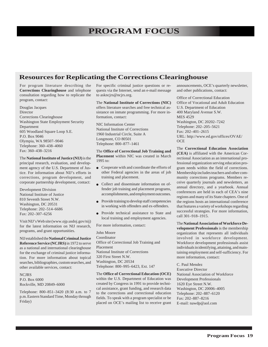#### **Resources for Replicating the Corrections Clearinghouse**

For program literature describing the **Corrections Clearinghouse** and telephone consultation regarding how to replicate the program, contact:

Douglas Jacques **Director** Corrections Clearinghouse Washington State Employment Security Department 605 Woodland Square Loop S.E. P.O. Box 9046 Olympia, WA 98507–9046 Telephone: 360–438–4060 Fax: 360–438–3216

The **National Institute of Justice (NIJ)** is the principal research, evaluation, and development agency of the U.S. Department of Justice. For information about NIJ's efforts in corrections, program development, and corporate partnership development, contact:

Development Division National Institute of Justice 810 Seventh Street N.W. Washington, DC 20531 Telephone: 202–514–6686 Fax: 202–307–6256

Visit NIJ's Web site (www.ojp.usdoj.gov/nij) for the latest information on NIJ research, programs, and grant opportunities.

NIJ established the **National Criminal Justice Reference Service (NCJRS)** in 1972 to serve as a national and international clearinghouse for the exchange of criminal justice information. For more information about topical searches, bibliographies, custom searches, and other available services, contact:

**NCJRS** P.O. Box 6000 Rockville, MD 20849–6000

Telephone: 800–851–3420 (8:30 a.m. to 7 p.m. Eastern Standard Time, Monday through Friday)

For specific criminal justice questions or requests via the Internet, send an e-mail message to askncjrs@ncjrs.org.

The **National Institute of Corrections (NIC)** offers literature searches and free technical assistance on inmate programming. For more information, contact:

NIC Information Center National Institute of Corrections 1960 Industrial Circle, Suite A Longmont, CO 80501 Telephone: 800–877–1461

The **Office of Correctional Job Training and Placement** within NIC was created in March 1995 to:

- Cooperate with and coordinate the efforts of other Federal agencies in the areas of job training and placement.
- Collect and disseminate information on offender job training and placement programs, accomplishments, and employment outcomes.
- Provide training to develop staff competencies in working with offenders and ex-offenders.
- Provide technical assistance to State and local training and employment agencies.

For more information, contact:

John Moore Coordinator Office of Correctional Job Training and Placement National Institute of Corrections 320 First Street N.W. Washington, DC 20534 Telephone: 800–995–6423, Ext. 147

The **Office of Correctional Education (OCE)** within the U.S. Department of Education was created by Congress in 1991 to provide technical assistance, grant funding, and research data to the corrections and correctional education fields. To speak with a program specialist or be placed on OCE's mailing list to receive grant

announcements, OCE's quarterly newsletter, and other publications, contact:

Office of Correctional Education Office of Vocational and Adult Education U.S. Department of Education 400 Maryland Avenue S.W. MES 4529 Washington, DC 20202–7242 Telephone: 202–205–5621 Fax: 202–401–2615 URL: http://www.ed.gov/offices/OVAE/ **OCE** 

The **Correctional Education Association (CEA)** is affiliated with the American Correctional Association as an international professional organization serving education program needs within the field of corrections. Membership includes teachers and other community corrections programs. Members receive quarterly journals and newsletters, an annual directory, and a yearbook. Annual conferences are held in each of CEA's nine regions and many of its State chapters. One of the regions hosts an international conference that features a variety of workshops regarding successful strategies. For more information, call 301–918–1915.

The **National Association of Workforce Development Professionals** is the membership organization that represents all individuals involved in workforce development. Workforce development professionals assist individuals in identifying, attaining, and maintaining employment and self-sufficiency. For more information, contact:

C. Paul Mendez Executive Director National Association of Workforce Development Professionals 1620 Eye Street N.W. Washington, DC 20006–4005 Telephone: 202–887–6120 Fax: 202–887–8216 E-mail: nawdp@aol.com